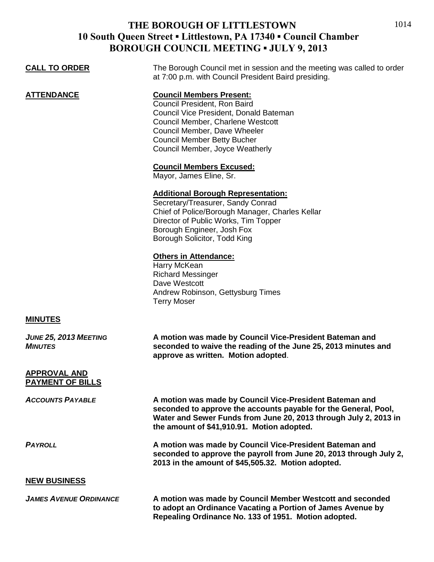## **THE BOROUGH OF LITTLESTOWN 10 South Queen Street ▪ Littlestown, PA 17340 ▪ Council Chamber BOROUGH COUNCIL MEETING ▪ JULY 9, 2013**

| <b>CALL TO ORDER</b>                           | The Borough Council met in session and the meeting was called to order<br>at 7:00 p.m. with Council President Baird presiding.                                                                                                                          |
|------------------------------------------------|---------------------------------------------------------------------------------------------------------------------------------------------------------------------------------------------------------------------------------------------------------|
| <b>ATTENDANCE</b>                              | <b>Council Members Present:</b><br>Council President, Ron Baird<br>Council Vice President, Donald Bateman<br>Council Member, Charlene Westcott<br>Council Member, Dave Wheeler<br><b>Council Member Betty Bucher</b><br>Council Member, Joyce Weatherly |
|                                                | <b>Council Members Excused:</b><br>Mayor, James Eline, Sr.                                                                                                                                                                                              |
|                                                | <b>Additional Borough Representation:</b><br>Secretary/Treasurer, Sandy Conrad<br>Chief of Police/Borough Manager, Charles Kellar<br>Director of Public Works, Tim Topper<br>Borough Engineer, Josh Fox<br>Borough Solicitor, Todd King                 |
|                                                | <b>Others in Attendance:</b><br>Harry McKean<br><b>Richard Messinger</b><br>Dave Westcott<br>Andrew Robinson, Gettysburg Times<br><b>Terry Moser</b>                                                                                                    |
| <b>MINUTES</b>                                 |                                                                                                                                                                                                                                                         |
| JUNE 25, 2013 MEETING<br><b>MINUTES</b>        | A motion was made by Council Vice-President Bateman and<br>seconded to waive the reading of the June 25, 2013 minutes and<br>approve as written. Motion adopted.                                                                                        |
| <b>APPROVAL AND</b><br><b>PAYMENT OF BILLS</b> |                                                                                                                                                                                                                                                         |
| <b>ACCOUNTS PAYABLE</b>                        | A motion was made by Council Vice-President Bateman and<br>seconded to approve the accounts payable for the General, Pool,<br>Water and Sewer Funds from June 20, 2013 through July 2, 2013 in<br>the amount of \$41,910.91. Motion adopted.            |
| <b>PAYROLL</b>                                 | A motion was made by Council Vice-President Bateman and<br>seconded to approve the payroll from June 20, 2013 through July 2,<br>2013 in the amount of \$45,505.32. Motion adopted.                                                                     |
| <b>NEW BUSINESS</b>                            |                                                                                                                                                                                                                                                         |
| <b>JAMES AVENUE ORDINANCE</b>                  | A motion was made by Council Member Westcott and seconded<br>to adopt an Ordinance Vacating a Portion of James Avenue by<br>Repealing Ordinance No. 133 of 1951. Motion adopted.                                                                        |